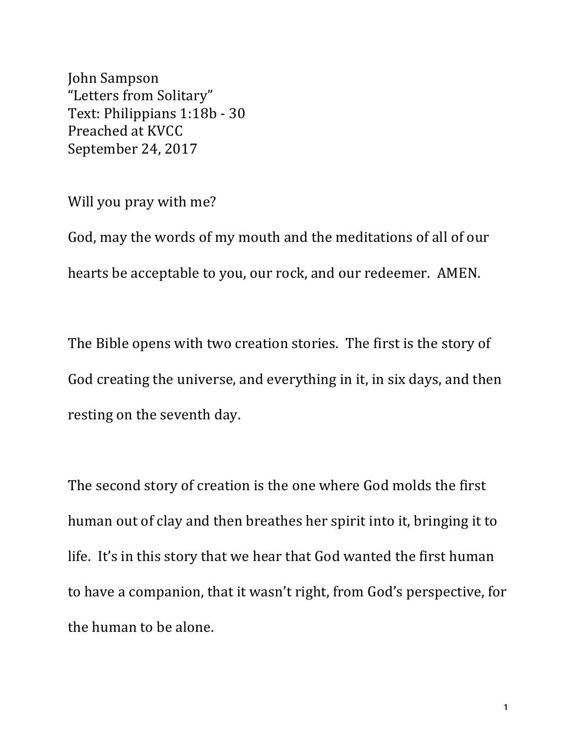John Sampson "Letters from Solitary" Text: Philippians 1:18b - 30 Preached at KVCC September 24, 2017

Will you pray with me?

God, may the words of my mouth and the meditations of all of our hearts be acceptable to you, our rock, and our redeemer. AMEN.

The Bible opens with two creation stories. The first is the story of God creating the universe, and everything in it, in six days, and then resting on the seventh day.

The second story of creation is the one where God molds the first human out of clay and then breathes her spirit into it, bringing it to life. It's in this story that we hear that God wanted the first human to have a companion, that it wasn't right, from God's perspective, for the human to be alone.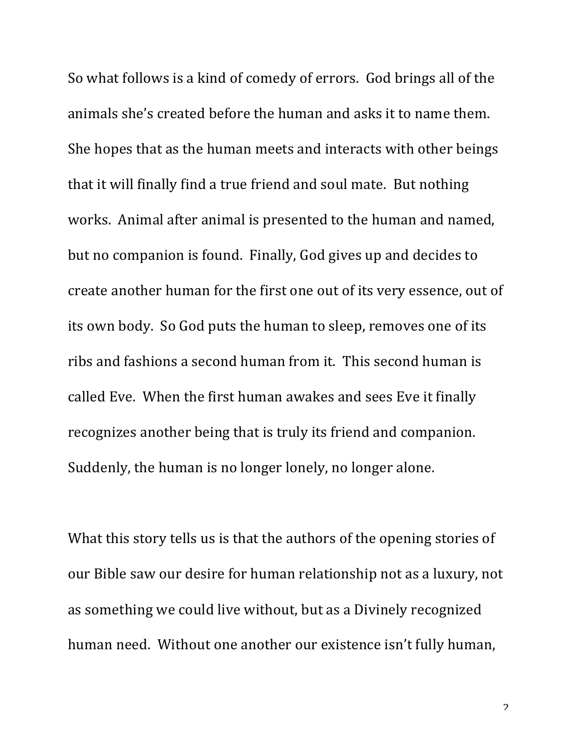So what follows is a kind of comedy of errors. God brings all of the animals she's created before the human and asks it to name them. She hopes that as the human meets and interacts with other beings that it will finally find a true friend and soul mate. But nothing works. Animal after animal is presented to the human and named, but no companion is found. Finally, God gives up and decides to create another human for the first one out of its very essence, out of its own body. So God puts the human to sleep, removes one of its ribs and fashions a second human from it. This second human is called Eve. When the first human awakes and sees Eve it finally recognizes another being that is truly its friend and companion. Suddenly, the human is no longer lonely, no longer alone.

What this story tells us is that the authors of the opening stories of our Bible saw our desire for human relationship not as a luxury, not as something we could live without, but as a Divinely recognized human need. Without one another our existence isn't fully human,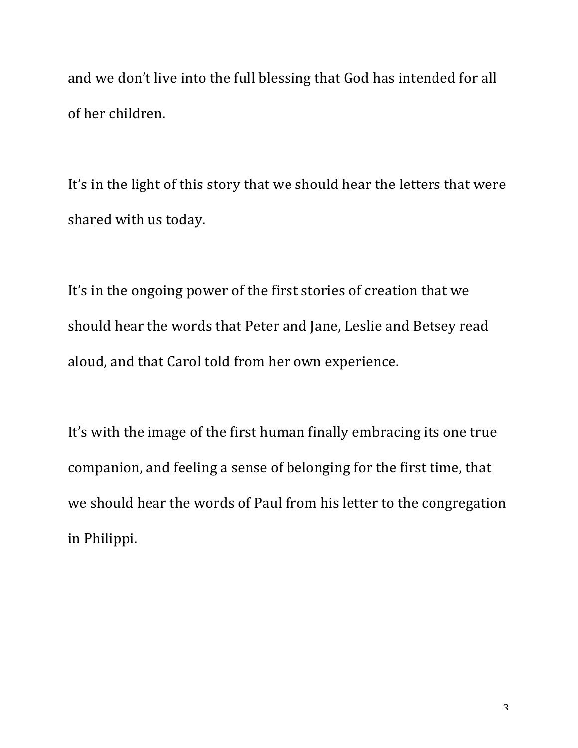and we don't live into the full blessing that God has intended for all of her children.

It's in the light of this story that we should hear the letters that were shared with us today.

It's in the ongoing power of the first stories of creation that we should hear the words that Peter and Jane, Leslie and Betsey read aloud, and that Carol told from her own experience.

It's with the image of the first human finally embracing its one true companion, and feeling a sense of belonging for the first time, that we should hear the words of Paul from his letter to the congregation in Philippi.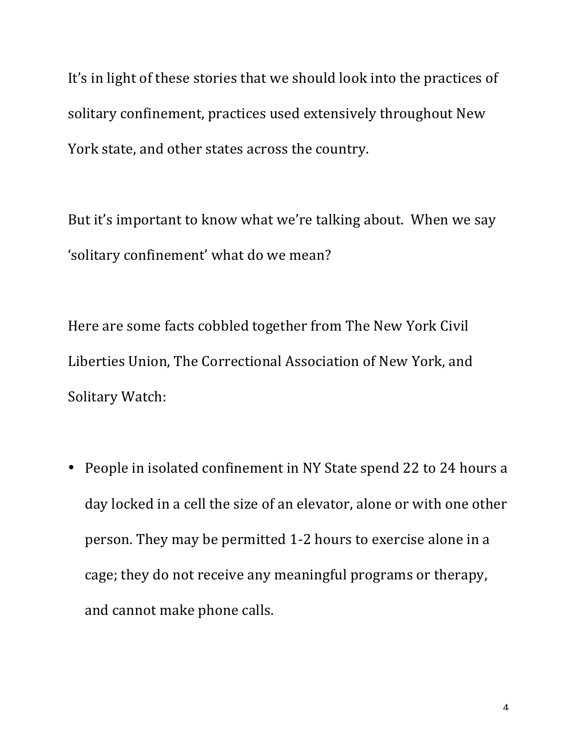It's in light of these stories that we should look into the practices of solitary confinement, practices used extensively throughout New York state, and other states across the country.

But it's important to know what we're talking about. When we say 'solitary confinement' what do we mean?

Here are some facts cobbled together from The New York Civil Liberties Union, The Correctional Association of New York, and Solitary Watch:

• People in isolated confinement in NY State spend 22 to 24 hours a day locked in a cell the size of an elevator, alone or with one other person. They may be permitted 1-2 hours to exercise alone in a cage; they do not receive any meaningful programs or therapy, and cannot make phone calls.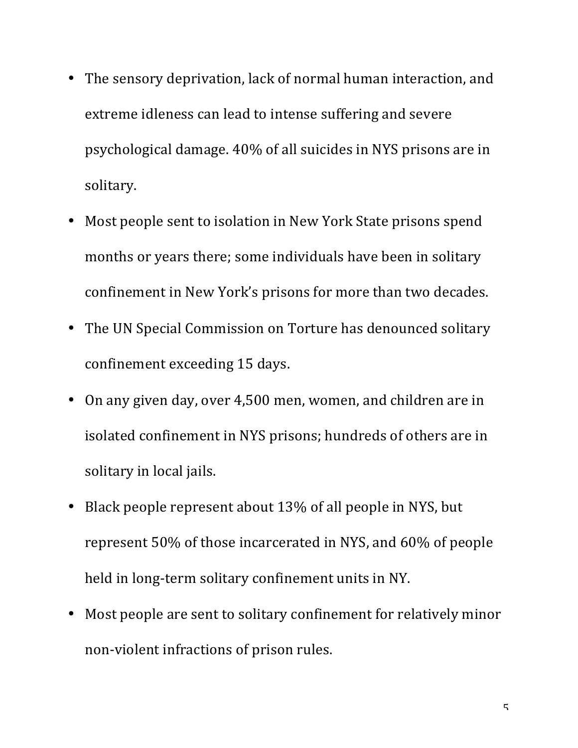- The sensory deprivation, lack of normal human interaction, and extreme idleness can lead to intense suffering and severe psychological damage. 40% of all suicides in NYS prisons are in solitary.
- Most people sent to isolation in New York State prisons spend months or years there; some individuals have been in solitary confinement in New York's prisons for more than two decades.
- The UN Special Commission on Torture has denounced solitary confinement exceeding 15 days.
- On any given day, over 4,500 men, women, and children are in isolated confinement in NYS prisons; hundreds of others are in solitary in local jails.
- Black people represent about 13% of all people in NYS, but represent 50% of those incarcerated in NYS, and 60% of people held in long-term solitary confinement units in NY.
- Most people are sent to solitary confinement for relatively minor non-violent infractions of prison rules.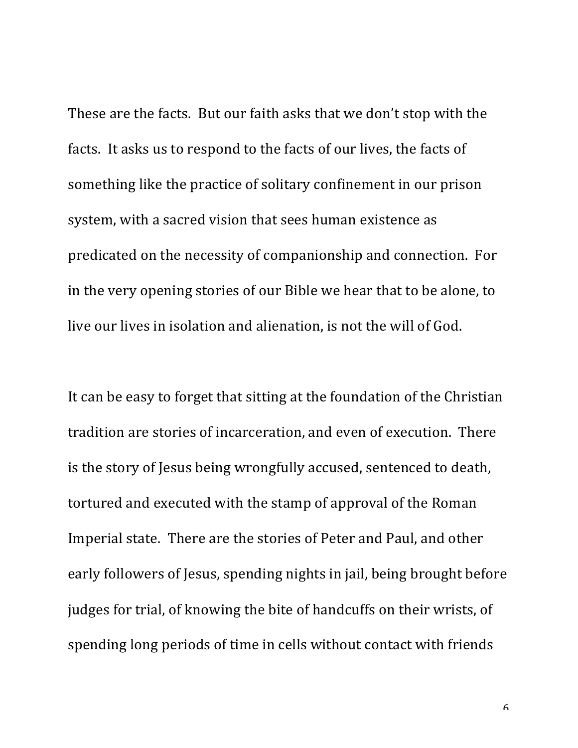These are the facts. But our faith asks that we don't stop with the facts. It asks us to respond to the facts of our lives, the facts of something like the practice of solitary confinement in our prison system, with a sacred vision that sees human existence as predicated on the necessity of companionship and connection. For in the very opening stories of our Bible we hear that to be alone, to live our lives in isolation and alienation, is not the will of God.

It can be easy to forget that sitting at the foundation of the Christian tradition are stories of incarceration, and even of execution. There is the story of Jesus being wrongfully accused, sentenced to death, tortured and executed with the stamp of approval of the Roman Imperial state. There are the stories of Peter and Paul, and other early followers of Jesus, spending nights in jail, being brought before judges for trial, of knowing the bite of handcuffs on their wrists, of spending long periods of time in cells without contact with friends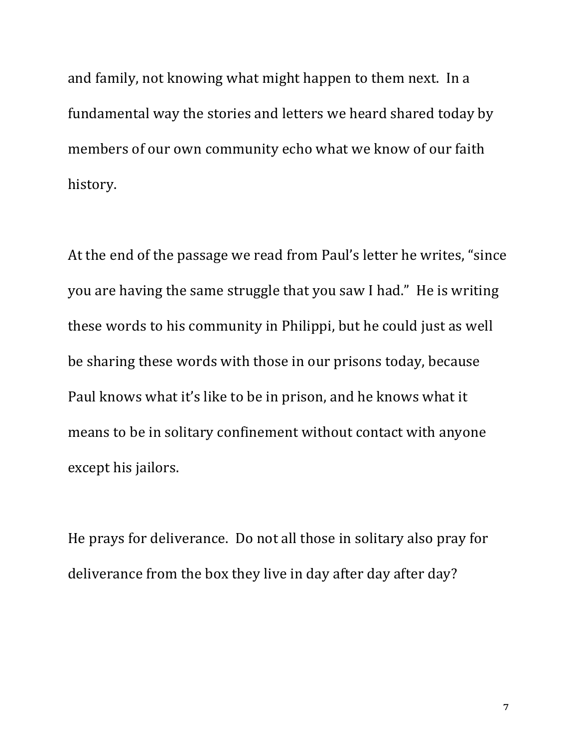and family, not knowing what might happen to them next. In a fundamental way the stories and letters we heard shared today by members of our own community echo what we know of our faith history.

At the end of the passage we read from Paul's letter he writes, "since you are having the same struggle that you saw I had." He is writing these words to his community in Philippi, but he could just as well be sharing these words with those in our prisons today, because Paul knows what it's like to be in prison, and he knows what it means to be in solitary confinement without contact with anyone except his jailors.

He prays for deliverance. Do not all those in solitary also pray for deliverance from the box they live in day after day after day?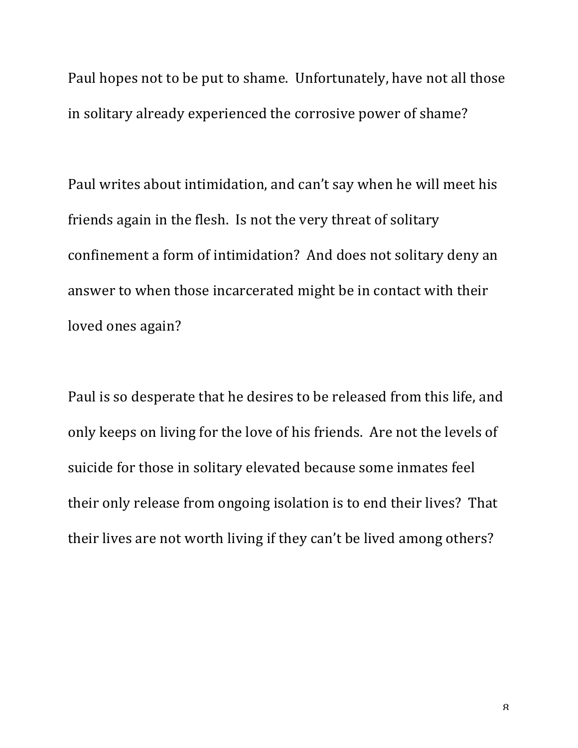Paul hopes not to be put to shame. Unfortunately, have not all those in solitary already experienced the corrosive power of shame?

Paul writes about intimidation, and can't say when he will meet his friends again in the flesh. Is not the very threat of solitary confinement a form of intimidation? And does not solitary deny an answer to when those incarcerated might be in contact with their loved ones again?

Paul is so desperate that he desires to be released from this life, and only keeps on living for the love of his friends. Are not the levels of suicide for those in solitary elevated because some inmates feel their only release from ongoing isolation is to end their lives? That their lives are not worth living if they can't be lived among others?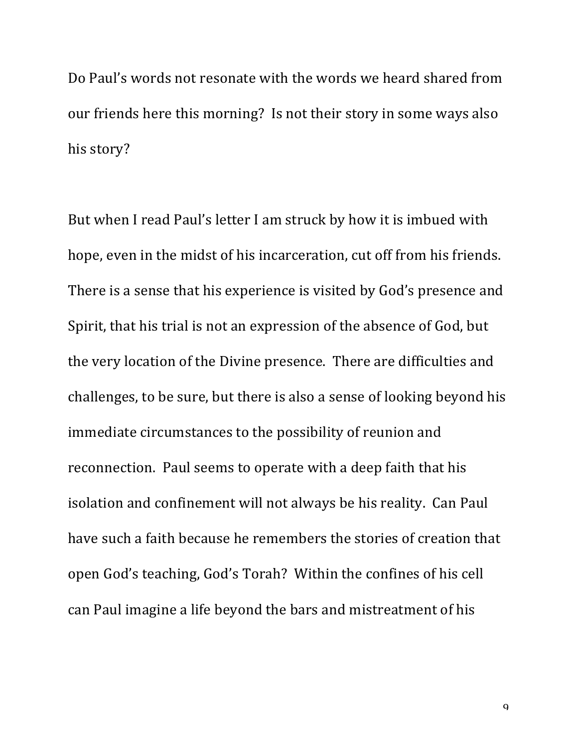Do Paul's words not resonate with the words we heard shared from our friends here this morning? Is not their story in some ways also his story?

But when I read Paul's letter I am struck by how it is imbued with hope, even in the midst of his incarceration, cut off from his friends. There is a sense that his experience is visited by God's presence and Spirit, that his trial is not an expression of the absence of God, but the very location of the Divine presence. There are difficulties and challenges, to be sure, but there is also a sense of looking beyond his immediate circumstances to the possibility of reunion and reconnection. Paul seems to operate with a deep faith that his isolation and confinement will not always be his reality. Can Paul have such a faith because he remembers the stories of creation that open God's teaching, God's Torah? Within the confines of his cell can Paul imagine a life beyond the bars and mistreatment of his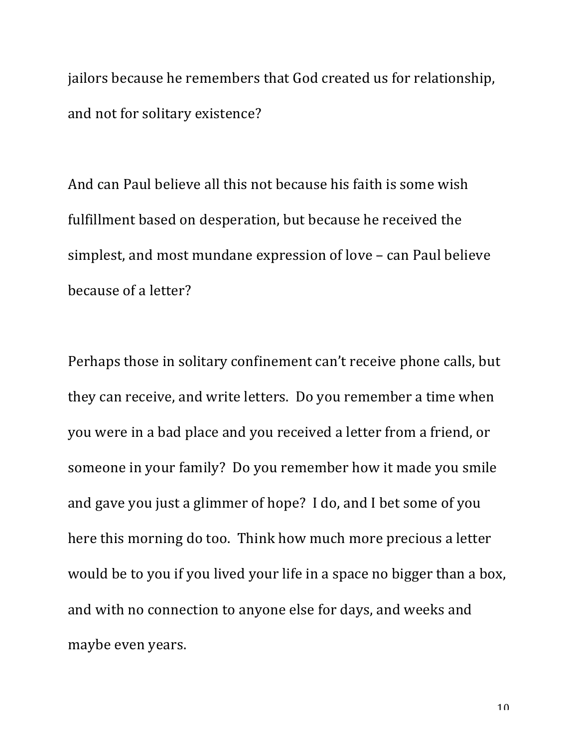jailors because he remembers that God created us for relationship, and not for solitary existence?

And can Paul believe all this not because his faith is some wish fulfillment based on desperation, but because he received the simplest, and most mundane expression of love – can Paul believe because of a letter?

Perhaps those in solitary confinement can't receive phone calls, but they can receive, and write letters. Do you remember a time when you were in a bad place and you received a letter from a friend, or someone in your family? Do you remember how it made you smile and gave you just a glimmer of hope? I do, and I bet some of you here this morning do too. Think how much more precious a letter would be to you if you lived your life in a space no bigger than a box, and with no connection to anyone else for days, and weeks and maybe even years.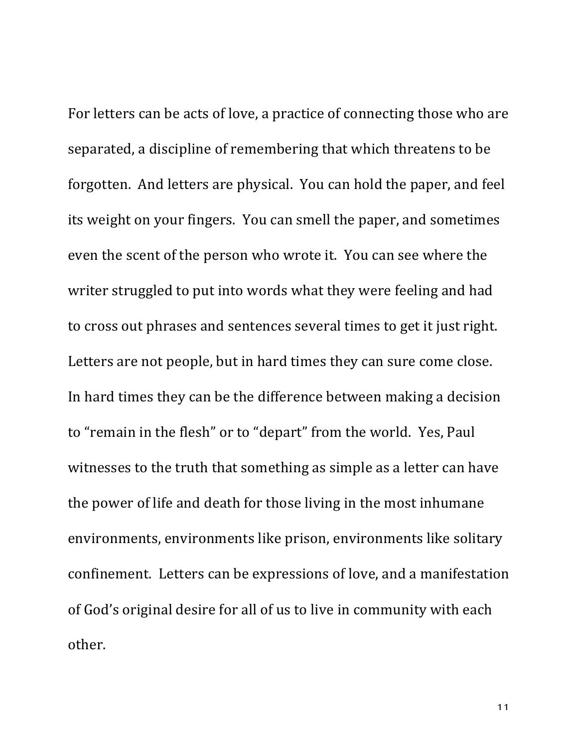For letters can be acts of love, a practice of connecting those who are separated, a discipline of remembering that which threatens to be forgotten. And letters are physical. You can hold the paper, and feel its weight on your fingers. You can smell the paper, and sometimes even the scent of the person who wrote it. You can see where the writer struggled to put into words what they were feeling and had to cross out phrases and sentences several times to get it just right. Letters are not people, but in hard times they can sure come close. In hard times they can be the difference between making a decision to "remain in the flesh" or to "depart" from the world. Yes, Paul witnesses to the truth that something as simple as a letter can have the power of life and death for those living in the most inhumane environments, environments like prison, environments like solitary confinement. Letters can be expressions of love, and a manifestation of God's original desire for all of us to live in community with each other.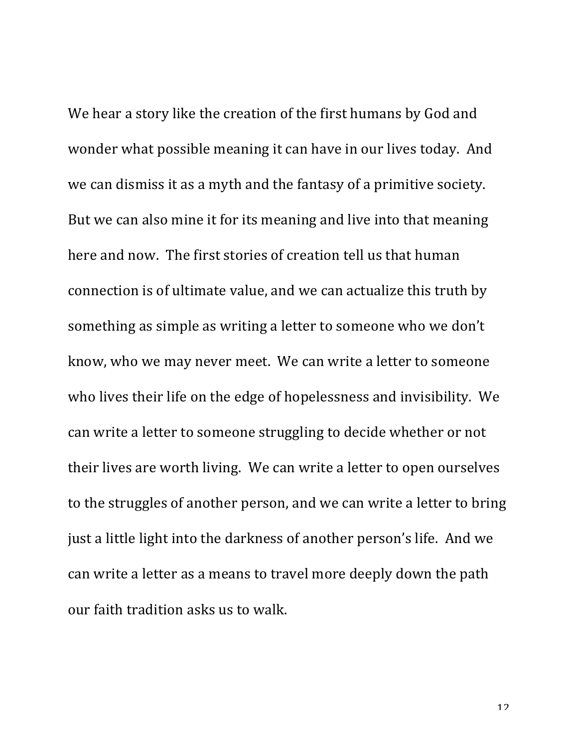We hear a story like the creation of the first humans by God and wonder what possible meaning it can have in our lives today. And we can dismiss it as a myth and the fantasy of a primitive society. But we can also mine it for its meaning and live into that meaning here and now. The first stories of creation tell us that human connection is of ultimate value, and we can actualize this truth by something as simple as writing a letter to someone who we don't know, who we may never meet. We can write a letter to someone who lives their life on the edge of hopelessness and invisibility. We can write a letter to someone struggling to decide whether or not their lives are worth living. We can write a letter to open ourselves to the struggles of another person, and we can write a letter to bring just a little light into the darkness of another person's life. And we can write a letter as a means to travel more deeply down the path our faith tradition asks us to walk.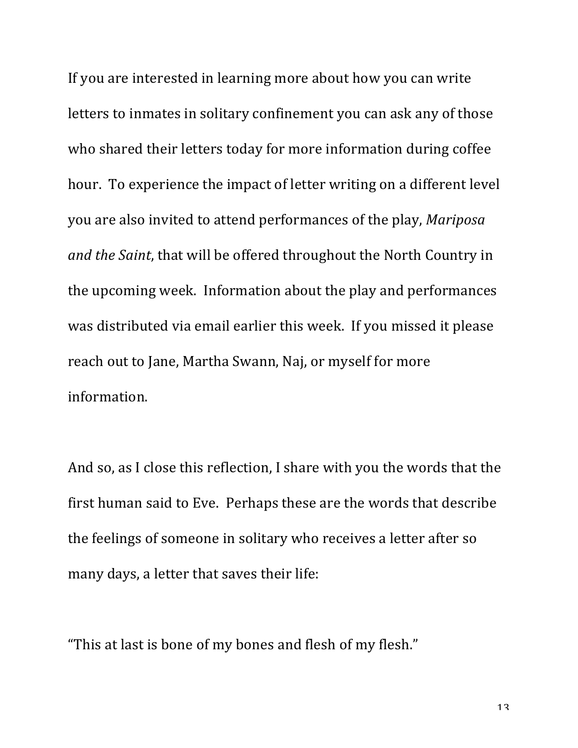If you are interested in learning more about how you can write letters to inmates in solitary confinement you can ask any of those who shared their letters today for more information during coffee hour. To experience the impact of letter writing on a different level you are also invited to attend performances of the play, *Mariposa and the Saint*, that will be offered throughout the North Country in the upcoming week. Information about the play and performances was distributed via email earlier this week. If you missed it please reach out to Jane, Martha Swann, Naj, or myself for more information.

And so, as I close this reflection, I share with you the words that the first human said to Eve. Perhaps these are the words that describe the feelings of someone in solitary who receives a letter after so many days, a letter that saves their life:

"This at last is bone of my bones and flesh of my flesh."